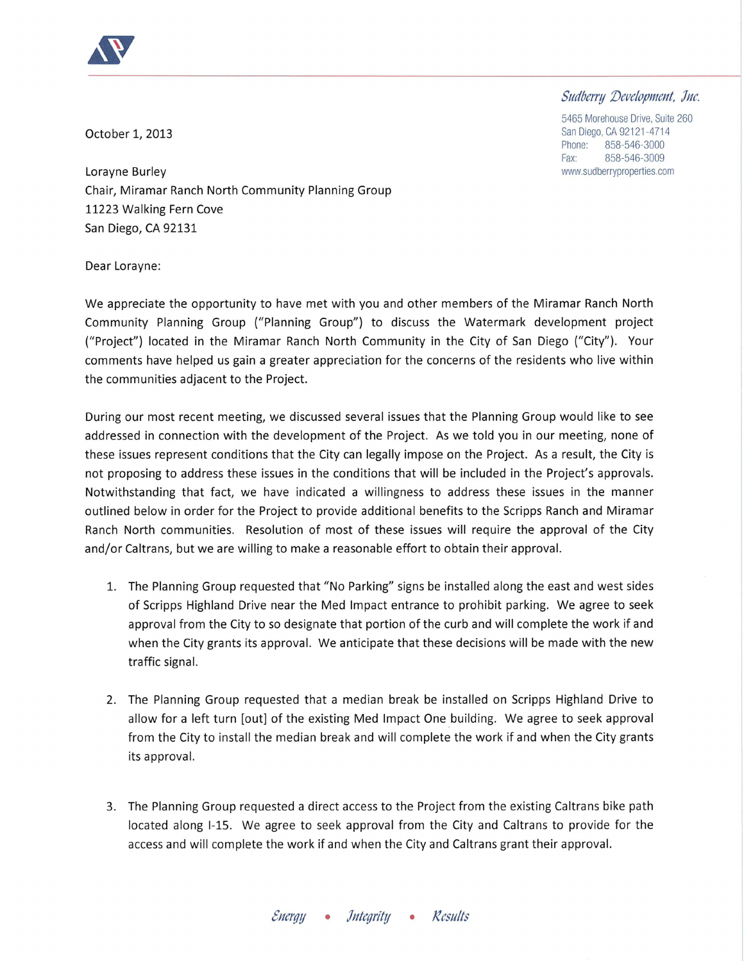

## Sudberry Development, Jnc. 5465 Morehouse Drive, Suite 260

October 1, 2013

San Diego, CA 92121-4714 Phone: 858-546-3000 Fax<sup>-</sup> 858-546-3009 www.sudberryproperties.com

Lorayne Burley Chair, Miramar Ranch North Community Planning Group 11223 Walking Fern Cove San Diego, CA 92131

Dear Lorayne:

We appreciate the opportunity to have met with you and other members of the Miramar Ranch North Community Planning Group ("Planning Group") to discuss the Watermark development project ("Project") located in the Miramar Ranch North Community in the City of San Diego ("City"). Your comments have helped us gain a greater appreciation for the concerns of the residents who live within the communities adjacent to the Project.

During our most recent meeting, we discussed several issues that the Planning Group would like to see addressed in connection with the development of the Project. As we told you in our meeting, none of these issues represent conditions that the City can legally impose on the Project. As a result, the City is not proposing to address these issues in the conditions that will be included in the Project's approvals. Notwithstanding that fact, we have indicated a willingness to address these issues in the manner outlined below in order for the Project to provide additional benefits to the Scripps Ranch and Miramar Ranch North communities. Resolution of most of these issues will require the approval of the City and/or Caltrans, but we are willing to make a reasonable effort to obtain their approval.

- 1. The Planning Group requested that "No Parking" signs be installed along the east and west sides of Scripps Highland Drive near the Med Impact entrance to prohibit parking. We agree to seek approval from the City to so designate that portion of the curb and will complete the work if and when the City grants its approval. We anticipate that these decisions will be made with the new traffic signal.
- 2. The Planning Group requested that a median break be installed on Scripps Highland Drive to allow for a left turn [out] of the existing Med Impact One building. We agree to seek approval from the City to install the median break and will complete the work if and when the City grants its approval.
- 3. The Planning Group requested a direct access to the Project from the existing Caltrans bike path located along I-15. We agree to seek approval from the City and Caltrans to provide for the access and will complete the work if and when the City and Caltrans grant their approval.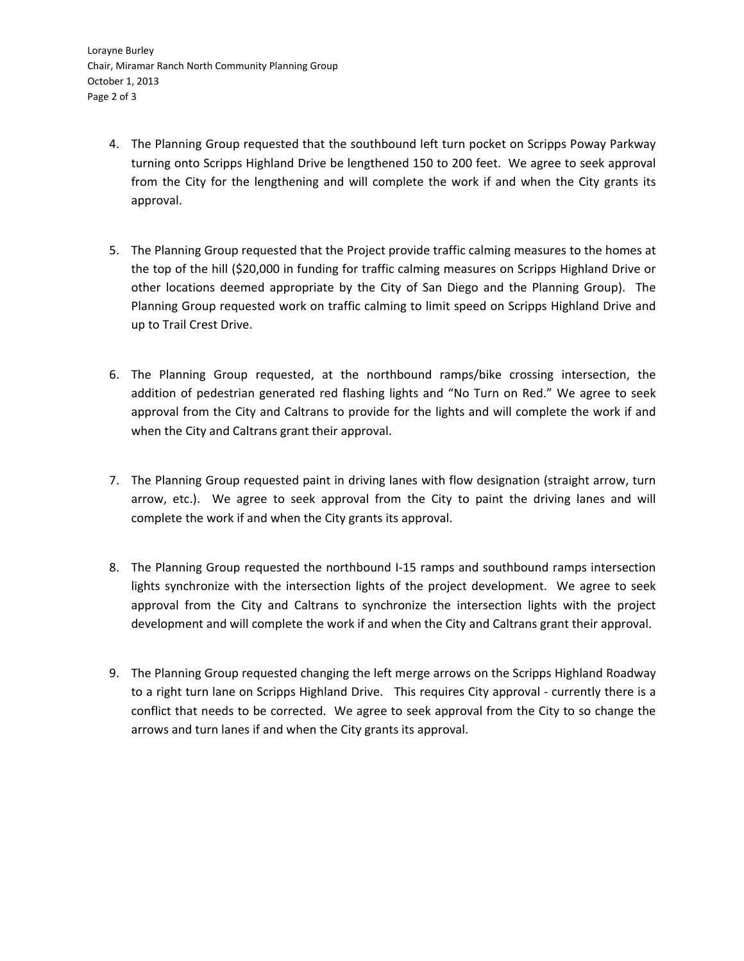- 4. The Planning Group requested that the southbound left turn pocket on Scripps Poway Parkway turning onto Scripps Highland Drive be lengthened 150 to 200 feet. We agree to seek approval from the City for the lengthening and will complete the work if and when the City grants its approval.
- 5. The Planning Group requested that the Project provide traffic calming measures to the homes at the top of the hill (\$20,000 in funding for traffic calming measures on Scripps Highland Drive or other locations deemed appropriate by the City of San Diego and the Planning Group). The Planning Group requested work on traffic calming to limit speed on Scripps Highland Drive and up to Trail Crest Drive.
- 6. The Planning Group requested, at the northbound ramps/bike crossing intersection, the addition of pedestrian generated red flashing lights and "No Turn on Red." We agree to seek approval from the City and Caltrans to provide for the lights and will complete the work if and when the City and Caltrans grant their approval.
- 7. The Planning Group requested paint in driving lanes with flow designation (straight arrow, turn arrow, etc.). We agree to seek approval from the City to paint the driving lanes and will complete the work if and when the City grants its approval.
- 8. The Planning Group requested the northbound I-15 ramps and southbound ramps intersection lights synchronize with the intersection lights of the project development. We agree to seek approval from the City and Caltrans to synchronize the intersection lights with the project development and will complete the work if and when the City and Caltrans grant their approval.
- 9. The Planning Group requested changing the left merge arrows on the Scripps Highland Roadway to a right turn lane on Scripps Highland Drive. This requires City approval - currently there is a conflict that needs to be corrected. We agree to seek approval from the City to so change the arrows and turn lanes if and when the City grants its approval.